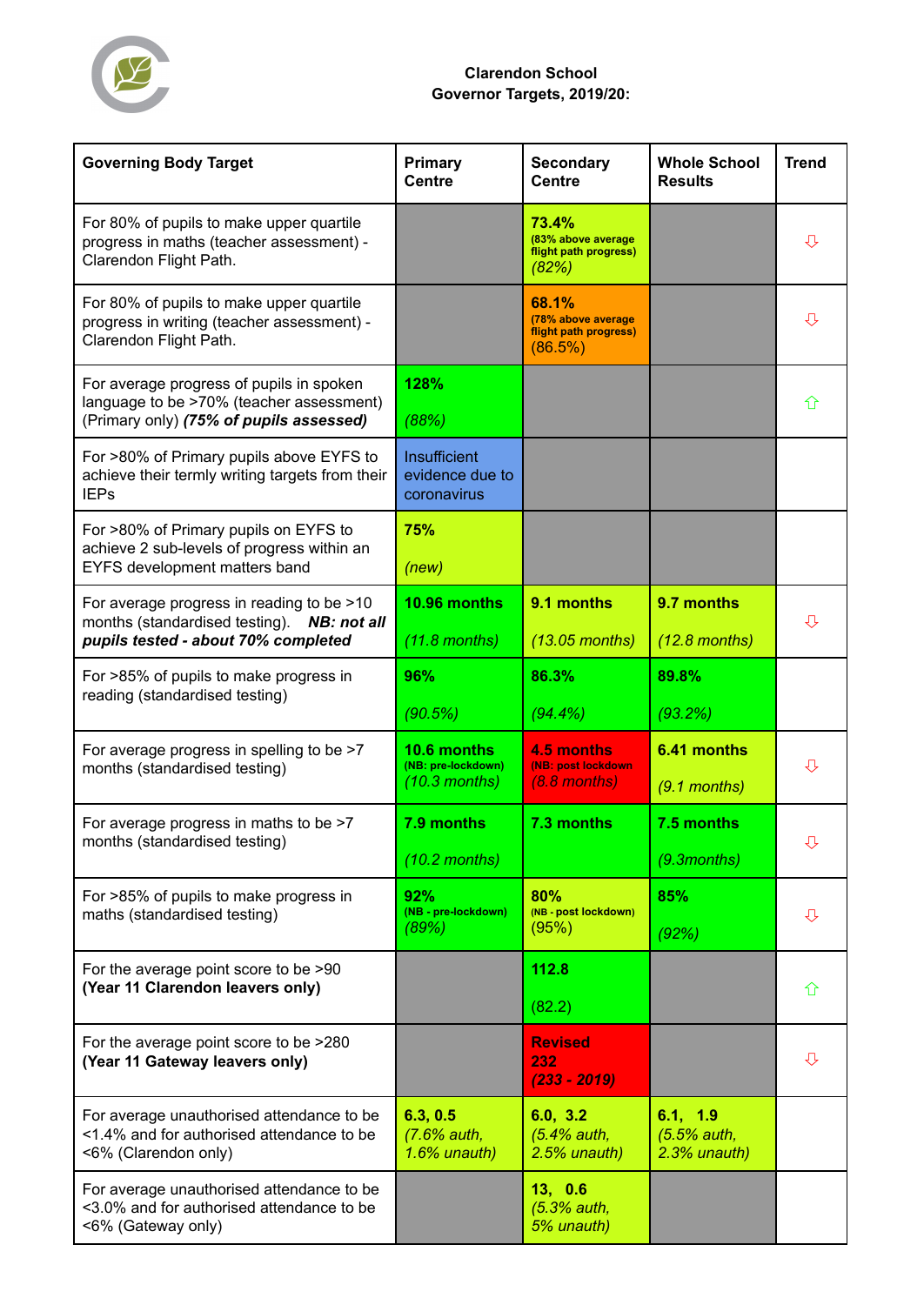

## **Clarendon School Governor Targets, 2019/20:**

| <b>Governing Body Target</b>                                                                                                    | Primary<br><b>Centre</b>                             | <b>Secondary</b><br><b>Centre</b>                               | <b>Whole School</b><br><b>Results</b>     | <b>Trend</b> |
|---------------------------------------------------------------------------------------------------------------------------------|------------------------------------------------------|-----------------------------------------------------------------|-------------------------------------------|--------------|
| For 80% of pupils to make upper quartile<br>progress in maths (teacher assessment) -<br>Clarendon Flight Path.                  |                                                      | 73.4%<br>(83% above average<br>flight path progress)<br>(82%)   |                                           | ⇩            |
| For 80% of pupils to make upper quartile<br>progress in writing (teacher assessment) -<br>Clarendon Flight Path.                |                                                      | 68.1%<br>(78% above average<br>flight path progress)<br>(86.5%) |                                           | ⇩            |
| For average progress of pupils in spoken<br>language to be >70% (teacher assessment)<br>(Primary only) (75% of pupils assessed) | 128%<br>(88%)                                        |                                                                 |                                           | 介            |
| For >80% of Primary pupils above EYFS to<br>achieve their termly writing targets from their<br><b>IEPs</b>                      | Insufficient<br>evidence due to<br>coronavirus       |                                                                 |                                           |              |
| For >80% of Primary pupils on EYFS to<br>achieve 2 sub-levels of progress within an<br>EYFS development matters band            | 75%<br>(new)                                         |                                                                 |                                           |              |
| For average progress in reading to be >10<br>months (standardised testing). NB: not all<br>pupils tested - about 70% completed  | 10.96 months<br>$(11.8$ months)                      | 9.1 months<br>$(13.05$ months)                                  | 9.7 months<br>$(12.8$ months)             | ⇩            |
| For >85% of pupils to make progress in<br>reading (standardised testing)                                                        | 96%<br>(90.5%)                                       | 86.3%<br>(94.4%                                                 | 89.8%<br>(93.2%)                          |              |
| For average progress in spelling to be >7<br>months (standardised testing)                                                      | 10.6 months<br>(NB: pre-lockdown)<br>$(10.3$ months) | 4.5 months<br>(NB: post lockdown<br>$(8.8$ months)              | 6.41 months<br>$(9.1$ months)             | ⇩            |
| For average progress in maths to be >7<br>months (standardised testing)                                                         | 7.9 months<br>$(10.2$ months)                        | 7.3 months                                                      | 7.5 months<br>$(9.3$ months)              | ⇩            |
| For >85% of pupils to make progress in<br>maths (standardised testing)                                                          | 92%<br>(NB - pre-lockdown)<br>(89%)                  | 80%<br>(NB - post lockdown)<br>(95%)                            | 85%<br>(92%)                              | ⇩            |
| For the average point score to be >90<br>(Year 11 Clarendon leavers only)                                                       |                                                      | 112.8<br>(82.2)                                                 |                                           | 介            |
| For the average point score to be >280<br>(Year 11 Gateway leavers only)                                                        |                                                      | <b>Revised</b><br>232<br>$(233 - 2019)$                         |                                           | ⇩            |
| For average unauthorised attendance to be<br><1.4% and for authorised attendance to be<br><6% (Clarendon only)                  | 6.3, 0.5<br>(7.6% auth,<br>$1.6%$ unauth)            | 6.0, 3.2<br>$(5.4%$ auth,<br>$2.5%$ unauth)                     | 6.1, 1.9<br>(5.5% auth,<br>$2.3%$ unauth) |              |
| For average unauthorised attendance to be<br><3.0% and for authorised attendance to be<br><6% (Gateway only)                    |                                                      | 13, 0.6<br>(5.3% auth,<br>5% unauth)                            |                                           |              |